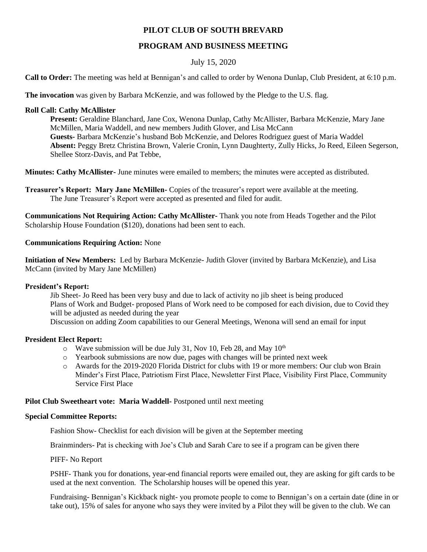# **PILOT CLUB OF SOUTH BREVARD**

# **PROGRAM AND BUSINESS MEETING**

## July 15, 2020

**Call to Order:** The meeting was held at Bennigan's and called to order by Wenona Dunlap, Club President, at 6:10 p.m.

**The invocation** was given by Barbara McKenzie, and was followed by the Pledge to the U.S. flag.

#### **Roll Call: Cathy McAllister**

**Present:** Geraldine Blanchard, Jane Cox, Wenona Dunlap, Cathy McAllister, Barbara McKenzie, Mary Jane McMillen, Maria Waddell, and new members Judith Glover, and Lisa McCann **Guests-** Barbara McKenzie's husband Bob McKenzie, and Delores Rodriguez guest of Maria Waddel **Absent:** Peggy Bretz Christina Brown, Valerie Cronin, Lynn Daughterty, Zully Hicks, Jo Reed, Eileen Segerson, Shellee Storz-Davis, and Pat Tebbe,

**Minutes: Cathy McAllister-** June minutes were emailed to members; the minutes were accepted as distributed.

**Treasurer's Report: Mary Jane McMillen-** Copies of the treasurer's report were available at the meeting. The June Treasurer's Report were accepted as presented and filed for audit.

**Communications Not Requiring Action: Cathy McAllister-** Thank you note from Heads Together and the Pilot Scholarship House Foundation (\$120), donations had been sent to each.

## **Communications Requiring Action:** None

**Initiation of New Members:** Led by Barbara McKenzie- Judith Glover (invited by Barbara McKenzie), and Lisa McCann (invited by Mary Jane McMillen)

## **President's Report:**

Jib Sheet- Jo Reed has been very busy and due to lack of activity no jib sheet is being produced Plans of Work and Budget- proposed Plans of Work need to be composed for each division, due to Covid they will be adjusted as needed during the year Discussion on adding Zoom capabilities to our General Meetings, Wenona will send an email for input

## **President Elect Report:**

- $\circ$  Wave submission will be due July 31, Nov 10, Feb 28, and May 10<sup>th</sup>
- o Yearbook submissions are now due, pages with changes will be printed next week
- o Awards for the 2019-2020 Florida District for clubs with 19 or more members: Our club won Brain Minder's First Place, Patriotism First Place, Newsletter First Place, Visibility First Place, Community Service First Place

## **Pilot Club Sweetheart vote: Maria Waddell-** Postponed until next meeting

#### **Special Committee Reports:**

Fashion Show- Checklist for each division will be given at the September meeting

Brainminders- Pat is checking with Joe's Club and Sarah Care to see if a program can be given there

#### PIFF- No Report

PSHF- Thank you for donations, year-end financial reports were emailed out, they are asking for gift cards to be used at the next convention. The Scholarship houses will be opened this year.

Fundraising- Bennigan's Kickback night- you promote people to come to Bennigan's on a certain date (dine in or take out), 15% of sales for anyone who says they were invited by a Pilot they will be given to the club. We can